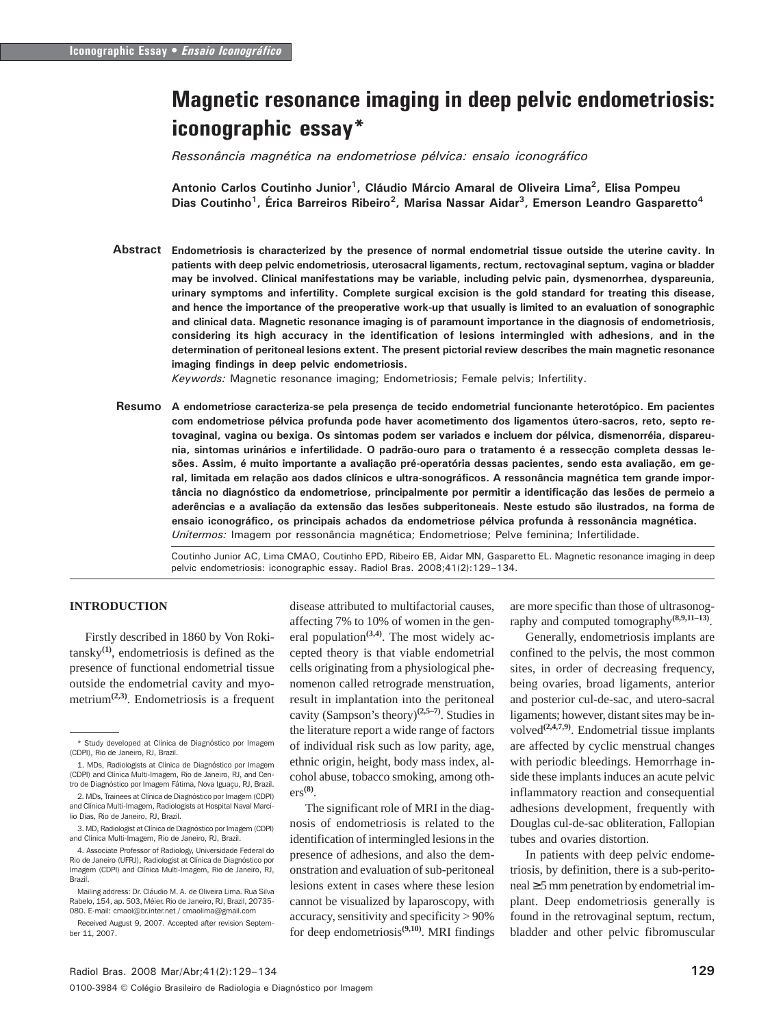# Magnetic resonance imaging in deep pelvic endometriosis: iconographic essay\*

Ressonância magnética na endometriose pélvica: ensaio iconográfico

Antonio Carlos Coutinho Junior<sup>1</sup>, Cláudio Márcio Amaral de Oliveira Lima<sup>2</sup>, Elisa Pompeu Dias Coutinho<sup>1</sup>, Érica Barreiros Ribeiro<sup>2</sup>, Marisa Nassar Aidar<sup>3</sup>, Emerson Leandro Gasparetto<sup>4</sup>

Abstract Endometriosis is characterized by the presence of normal endometrial tissue outside the uterine cavity. In patients with deep pelvic endometriosis, uterosacral ligaments, rectum, rectovaginal septum, vagina or bladder may be involved. Clinical manifestations may be variable, including pelvic pain, dysmenorrhea, dyspareunia, urinary symptoms and infertility. Complete surgical excision is the gold standard for treating this disease, and hence the importance of the preoperative work-up that usually is limited to an evaluation of sonographic and clinical data. Magnetic resonance imaging is of paramount importance in the diagnosis of endometriosis, considering its high accuracy in the identification of lesions intermingled with adhesions, and in the determination of peritoneal lesions extent. The present pictorial review describes the main magnetic resonance imaging findings in deep pelvic endometriosis.

Keywords: Magnetic resonance imaging; Endometriosis; Female pelvis; Infertility.

Resumo A endometriose caracteriza-se pela presença de tecido endometrial funcionante heterotópico. Em pacientes com endometriose pélvica profunda pode haver acometimento dos ligamentos útero-sacros, reto, septo retovaginal, vagina ou bexiga. Os sintomas podem ser variados e incluem dor pélvica, dismenorréia, dispareunia, sintomas urinários e infertilidade. O padrão-ouro para o tratamento é a ressecção completa dessas lesões. Assim, é muito importante a avaliação pré-operatória dessas pacientes, sendo esta avaliação, em geral, limitada em relação aos dados clínicos e ultra-sonográficos. A ressonância magnética tem grande importância no diagnóstico da endometriose, principalmente por permitir a identificação das lesões de permeio a aderências e a avaliação da extensão das lesões subperitoneais. Neste estudo são ilustrados, na forma de ensaio iconográfico, os principais achados da endometriose pélvica profunda à ressonância magnética. Unitermos: Imagem por ressonância magnética; Endometriose; Pelve feminina; Infertilidade.

Coutinho Junior AC, Lima CMAO, Coutinho EPD, Ribeiro EB, Aidar MN, Gasparetto EL. Magnetic resonance imaging in deep pelvic endometriosis: iconographic essay. Radiol Bras. 2008;41(2):129–134.

#### **INTRODUCTION**

Firstly described in 1860 by Von Rokitansky**(1)**, endometriosis is defined as the presence of functional endometrial tissue outside the endometrial cavity and myometrium**(2,3)**. Endometriosis is a frequent

disease attributed to multifactorial causes, affecting 7% to 10% of women in the general population**(3,4)**. The most widely accepted theory is that viable endometrial cells originating from a physiological phenomenon called retrograde menstruation, result in implantation into the peritoneal cavity (Sampson's theory)**(2,5–7)**. Studies in the literature report a wide range of factors of individual risk such as low parity, age, ethnic origin, height, body mass index, alcohol abuse, tobacco smoking, among others**(8)**.

The significant role of MRI in the diagnosis of endometriosis is related to the identification of intermingled lesions in the presence of adhesions, and also the demonstration and evaluation of sub-peritoneal lesions extent in cases where these lesion cannot be visualized by laparoscopy, with accuracy, sensitivity and specificity > 90% for deep endometriosis**(9,10)**. MRI findings

are more specific than those of ultrasonography and computed tomography**(8,9,11–13)**.

Generally, endometriosis implants are confined to the pelvis, the most common sites, in order of decreasing frequency, being ovaries, broad ligaments, anterior and posterior cul-de-sac, and utero-sacral ligaments; however, distant sites may be involved**(2,4,7,9)**. Endometrial tissue implants are affected by cyclic menstrual changes with periodic bleedings. Hemorrhage inside these implants induces an acute pelvic inflammatory reaction and consequential adhesions development, frequently with Douglas cul-de-sac obliteration, Fallopian tubes and ovaries distortion.

In patients with deep pelvic endometriosis, by definition, there is a sub-peritoneal ≥ 5 mm penetration by endometrial implant. Deep endometriosis generally is found in the retrovaginal septum, rectum, bladder and other pelvic fibromuscular

<sup>\*</sup> Study developed at Clínica de Diagnóstico por Imagem (CDPI), Rio de Janeiro, RJ, Brazil.

<sup>1.</sup> MDs, Radiologists at Clínica de Diagnóstico por Imagem (CDPI) and Clínica Multi-Imagem, Rio de Janeiro, RJ, and Centro de Diagnóstico por Imagem Fátima, Nova Iguaçu, RJ, Brazil.

<sup>2.</sup> MDs, Trainees at Clínica de Diagnóstico por Imagem (CDPI) and Clínica Multi-Imagem, Radiologists at Hospital Naval Marcílio Dias, Rio de Janeiro, RJ, Brazil.

<sup>3.</sup> MD, Radiologist at Clínica de Diagnóstico por Imagem (CDPI) and Clínica Multi-Imagem, Rio de Janeiro, RJ, Brazil.

<sup>4.</sup> Associate Professor of Radiology, Universidade Federal do Rio de Janeiro (UFRJ), Radiologist at Clínica de Diagnóstico por Imagem (CDPI) and Clínica Multi-Imagem, Rio de Janeiro, RJ, Brazil.

Mailing address: Dr. Cláudio M. A. de Oliveira Lima. Rua Silva Rabelo, 154, ap. 503, Méier. Rio de Janeiro, RJ, Brazil, 20735- 080. E-mail: cmaol@br.inter.net / cmaolima@gmail.com

Received August 9, 2007. Accepted after revision September 11, 2007.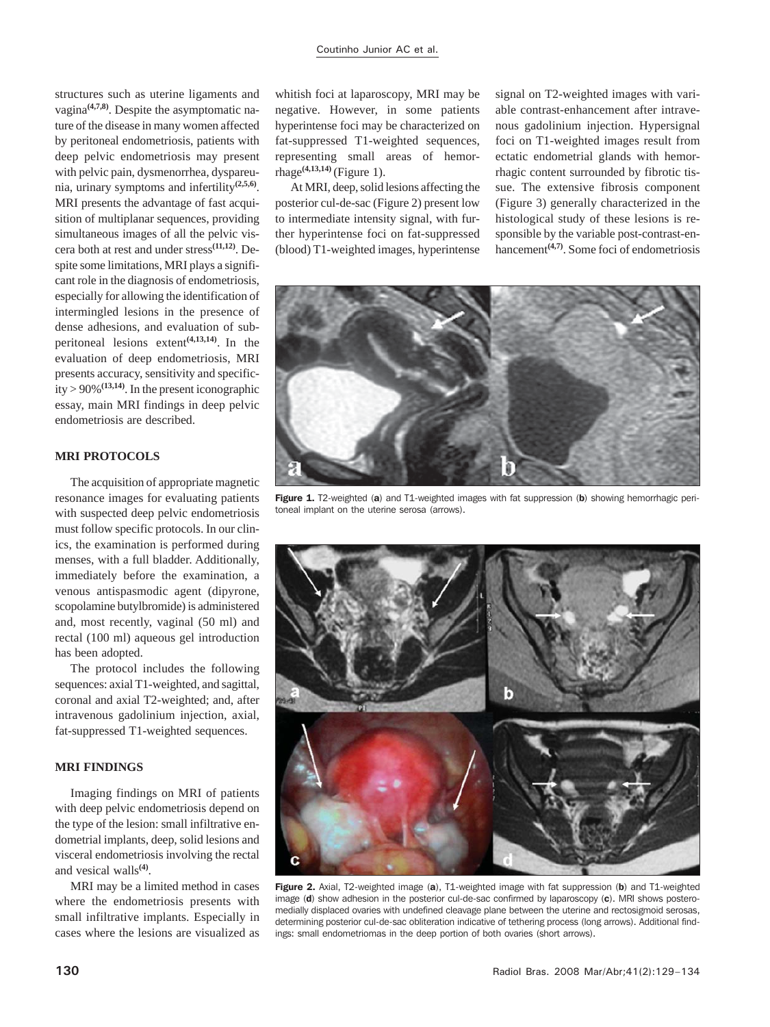structures such as uterine ligaments and vagina**(4,7,8)**. Despite the asymptomatic nature of the disease in many women affected by peritoneal endometriosis, patients with deep pelvic endometriosis may present with pelvic pain, dysmenorrhea, dyspareunia, urinary symptoms and infertility**(2,5,6)**. MRI presents the advantage of fast acquisition of multiplanar sequences, providing simultaneous images of all the pelvic viscera both at rest and under stress**(11,12)**. Despite some limitations, MRI plays a significant role in the diagnosis of endometriosis, especially for allowing the identification of intermingled lesions in the presence of dense adhesions, and evaluation of subperitoneal lesions extent**(4,13,14)**. In the evaluation of deep endometriosis, MRI presents accuracy, sensitivity and specificity  $> 90\%$ <sup>(13,14)</sup>. In the present iconographic essay, main MRI findings in deep pelvic endometriosis are described.

## **MRI PROTOCOLS**

The acquisition of appropriate magnetic resonance images for evaluating patients with suspected deep pelvic endometriosis must follow specific protocols. In our clinics, the examination is performed during menses, with a full bladder. Additionally, immediately before the examination, a venous antispasmodic agent (dipyrone, scopolamine butylbromide) is administered and, most recently, vaginal (50 ml) and rectal (100 ml) aqueous gel introduction has been adopted.

The protocol includes the following sequences: axial T1-weighted, and sagittal, coronal and axial T2-weighted; and, after intravenous gadolinium injection, axial, fat-suppressed T1-weighted sequences.

### **MRI FINDINGS**

Imaging findings on MRI of patients with deep pelvic endometriosis depend on the type of the lesion: small infiltrative endometrial implants, deep, solid lesions and visceral endometriosis involving the rectal and vesical walls**(4)**.

MRI may be a limited method in cases where the endometriosis presents with small infiltrative implants. Especially in cases where the lesions are visualized as whitish foci at laparoscopy, MRI may be negative. However, in some patients hyperintense foci may be characterized on fat-suppressed T1-weighted sequences, representing small areas of hemorrhage**(4,13,14)** (Figure 1).

At MRI, deep, solid lesions affecting the posterior cul-de-sac (Figure 2) present low to intermediate intensity signal, with further hyperintense foci on fat-suppressed (blood) T1-weighted images, hyperintense

signal on T2-weighted images with variable contrast-enhancement after intravenous gadolinium injection. Hypersignal foci on T1-weighted images result from ectatic endometrial glands with hemorrhagic content surrounded by fibrotic tissue. The extensive fibrosis component (Figure 3) generally characterized in the histological study of these lesions is responsible by the variable post-contrast-enhancement**(4,7)**. Some foci of endometriosis



Figure 1. T2-weighted (a) and T1-weighted images with fat suppression (b) showing hemorrhagic peritoneal implant on the uterine serosa (arrows).



Figure 2. Axial, T2-weighted image (a), T1-weighted image with fat suppression (b) and T1-weighted image (d) show adhesion in the posterior cul-de-sac confirmed by laparoscopy (c). MRI shows posteromedially displaced ovaries with undefined cleavage plane between the uterine and rectosigmoid serosas, determining posterior cul-de-sac obliteration indicative of tethering process (long arrows). Additional findings: small endometriomas in the deep portion of both ovaries (short arrows).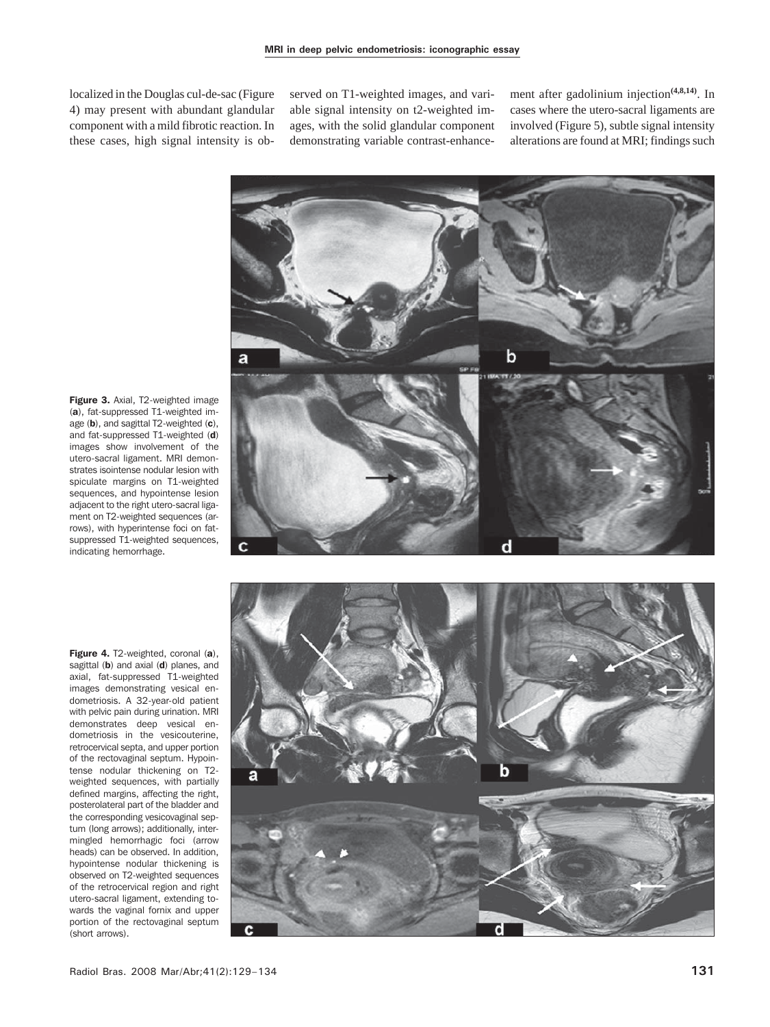localized in the Douglas cul-de-sac (Figure 4) may present with abundant glandular component with a mild fibrotic reaction. In these cases, high signal intensity is ob-

served on T1-weighted images, and variable signal intensity on t2-weighted images, with the solid glandular component demonstrating variable contrast-enhancement after gadolinium injection**(4,8,14)**. In cases where the utero-sacral ligaments are involved (Figure 5), subtle signal intensity alterations are found at MRI; findings such



Figure 3. Axial, T2-weighted image (a), fat-suppressed T1-weighted image (b), and sagittal T2-weighted (c), and fat-suppressed T1-weighted (d) images show involvement of the utero-sacral ligament. MRI demonstrates isointense nodular lesion with spiculate margins on T1-weighted sequences, and hypointense lesion adjacent to the right utero-sacral ligament on T2-weighted sequences (arrows), with hyperintense foci on fatsuppressed T1-weighted sequences, indicating hemorrhage.

Figure 4. T2-weighted, coronal (a), sagittal (b) and axial (d) planes, and axial, fat-suppressed T1-weighted images demonstrating vesical endometriosis. A 32-year-old patient with pelvic pain during urination. MRI demonstrates deep vesical endometriosis in the vesicouterine, retrocervical septa, and upper portion of the rectovaginal septum. Hypointense nodular thickening on T2 weighted sequences, with partially defined margins, affecting the right, posterolateral part of the bladder and the corresponding vesicovaginal septum (long arrows); additionally, intermingled hemorrhagic foci (arrow heads) can be observed. In addition, hypointense nodular thickening is observed on T2-weighted sequences of the retrocervical region and right utero-sacral ligament, extending towards the vaginal fornix and upper portion of the rectovaginal septum (short arrows).

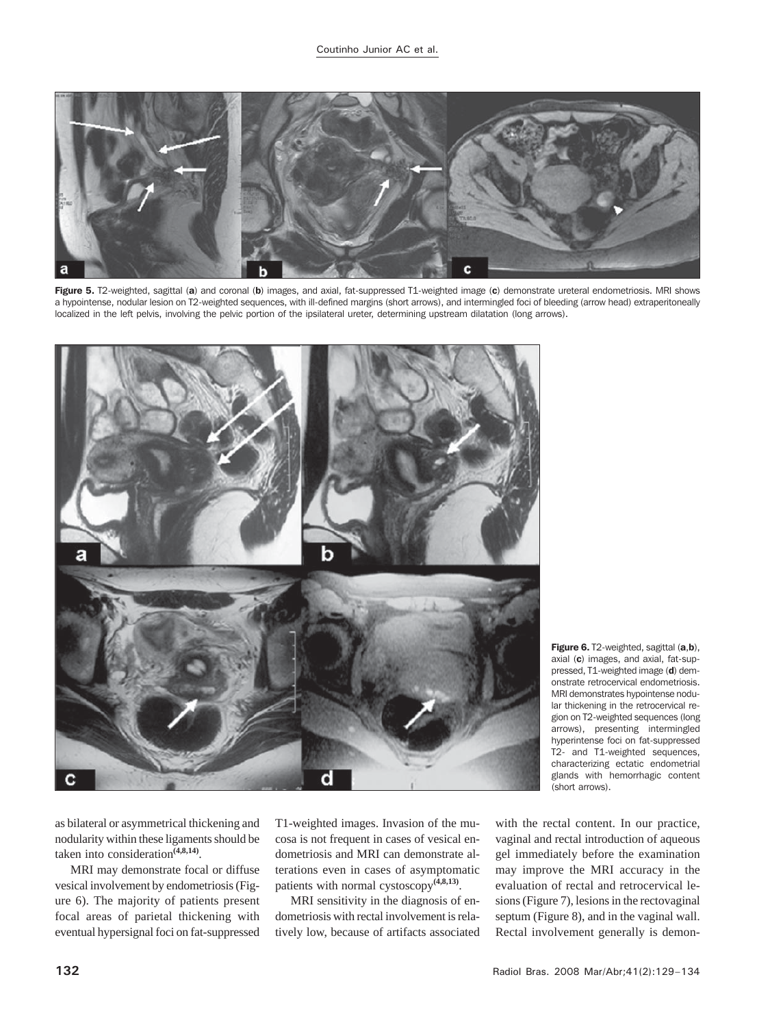

Figure 5. T2-weighted, sagittal (a) and coronal (b) images, and axial, fat-suppressed T1-weighted image (c) demonstrate ureteral endometriosis. MRI shows a hypointense, nodular lesion on T2-weighted sequences, with ill-defined margins (short arrows), and intermingled foci of bleeding (arrow head) extraperitoneally localized in the left pelvis, involving the pelvic portion of the ipsilateral ureter, determining upstream dilatation (long arrows).



Figure 6. T2-weighted, sagittal (a,b), axial (c) images, and axial, fat-suppressed, T1-weighted image (d) demonstrate retrocervical endometriosis. MRI demonstrates hypointense nodular thickening in the retrocervical region on T2-weighted sequences (long arrows), presenting intermingled hyperintense foci on fat-suppressed T2- and T1-weighted sequences, characterizing ectatic endometrial glands with hemorrhagic content (short arrows).

as bilateral or asymmetrical thickening and nodularity within these ligaments should be taken into consideration**(4,8,14)**.

MRI may demonstrate focal or diffuse vesical involvement by endometriosis (Figure 6). The majority of patients present focal areas of parietal thickening with eventual hypersignal foci on fat-suppressed T1-weighted images. Invasion of the mucosa is not frequent in cases of vesical endometriosis and MRI can demonstrate alterations even in cases of asymptomatic patients with normal cystoscopy**(4,8,13)**.

MRI sensitivity in the diagnosis of endometriosis with rectal involvement is relatively low, because of artifacts associated with the rectal content. In our practice, vaginal and rectal introduction of aqueous gel immediately before the examination may improve the MRI accuracy in the evaluation of rectal and retrocervical lesions (Figure 7), lesions in the rectovaginal septum (Figure 8), and in the vaginal wall. Rectal involvement generally is demon-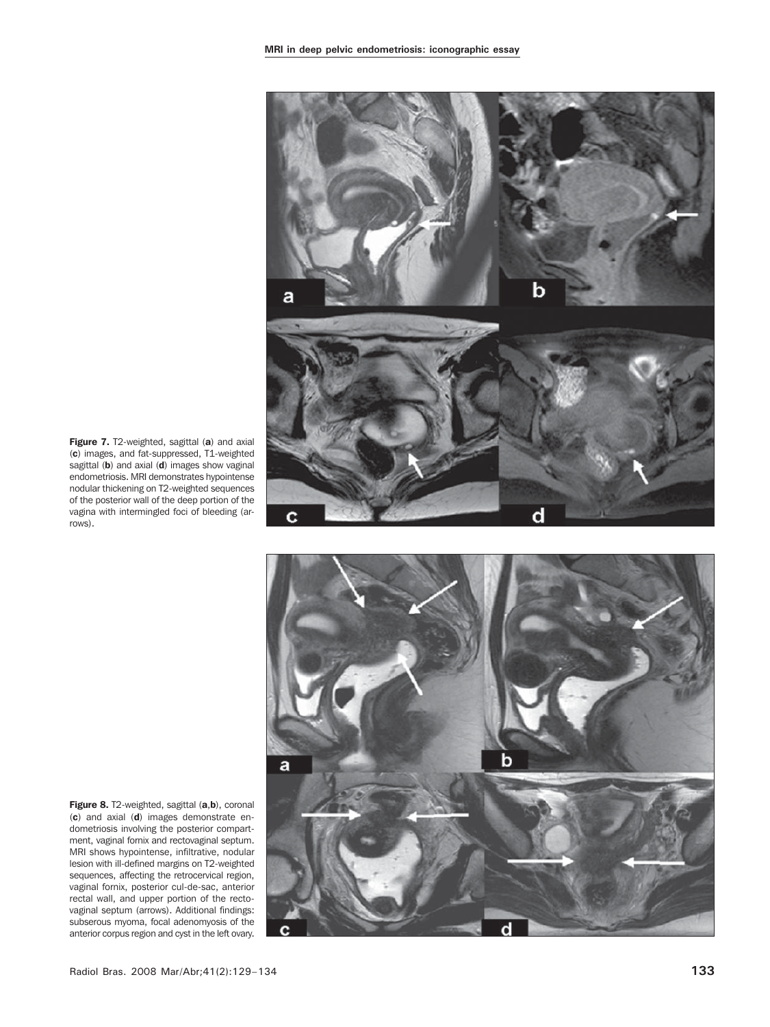

Figure 7. T2-weighted, sagittal (a) and axial (c) images, and fat-suppressed, T1-weighted sagittal (b) and axial (d) images show vaginal endometriosis. MRI demonstrates hypointense nodular thickening on T2-weighted sequences of the posterior wall of the deep portion of the vagina with intermingled foci of bleeding (arrows).



Figure 8. T2-weighted, sagittal (a,b), coronal (c) and axial (d) images demonstrate endometriosis involving the posterior compartment, vaginal fornix and rectovaginal septum. MRI shows hypointense, infiltrative, nodular lesion with ill-defined margins on T2-weighted sequences, affecting the retrocervical region, vaginal fornix, posterior cul-de-sac, anterior rectal wall, and upper portion of the rectovaginal septum (arrows). Additional findings: subserous myoma, focal adenomyosis of the anterior corpus region and cyst in the left ovary.